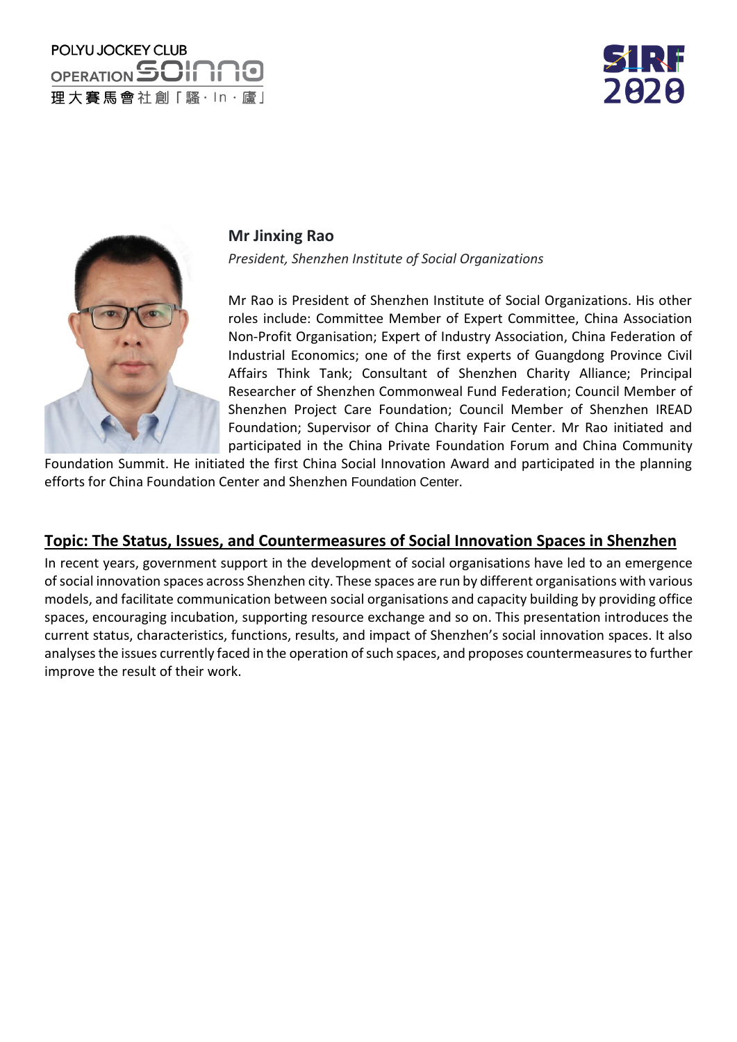





## **Mr Jinxing Rao**

*President, Shenzhen Institute of Social Organizations*

Mr Rao is President of Shenzhen Institute of Social Organizations. His other roles include: Committee Member of Expert Committee, China Association Non-Profit Organisation; Expert of Industry Association, China Federation of Industrial Economics; one of the first experts of Guangdong Province Civil Affairs Think Tank; Consultant of Shenzhen Charity Alliance; Principal Researcher of Shenzhen Commonweal Fund Federation; Council Member of Shenzhen Project Care Foundation; Council Member of Shenzhen IREAD Foundation; Supervisor of China Charity Fair Center. Mr Rao initiated and participated in the China Private Foundation Forum and China Community

Foundation Summit. He initiated the first China Social Innovation Award and participated in the planning efforts for China Foundation Center and Shenzhen Foundation Center.

## **Topic: The Status, Issues, and Countermeasures of Social Innovation Spaces in Shenzhen**

In recent years, government support in the development of social organisations have led to an emergence ofsocial innovation spaces across Shenzhen city. These spaces are run by different organisations with various models, and facilitate communication between social organisations and capacity building by providing office spaces, encouraging incubation, supporting resource exchange and so on. This presentation introduces the current status, characteristics, functions, results, and impact of Shenzhen's social innovation spaces. It also analyses the issues currently faced in the operation of such spaces, and proposes countermeasures to further improve the result of their work.